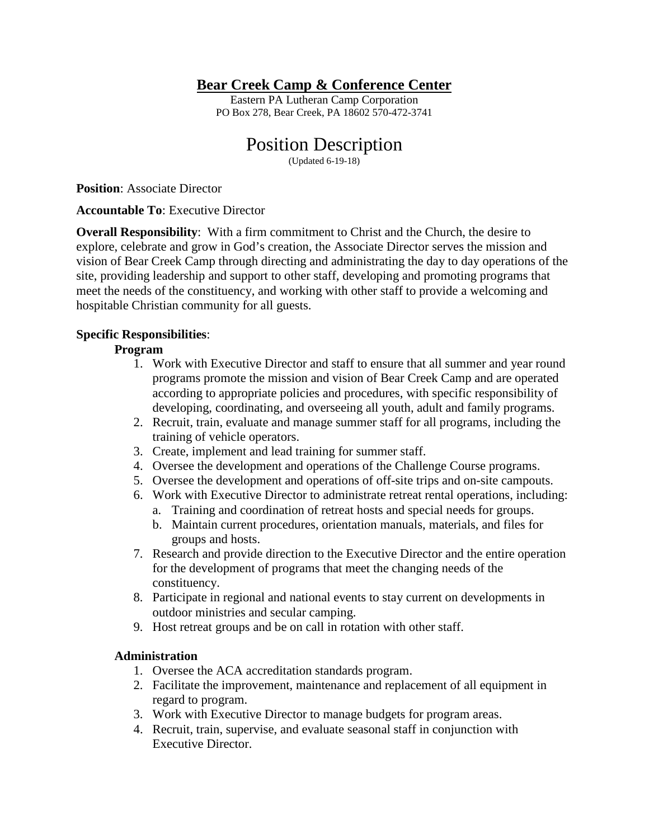## **Bear Creek Camp & Conference Center**

Eastern PA Lutheran Camp Corporation PO Box 278, Bear Creek, PA 18602 570-472-3741

# Position Description

(Updated 6-19-18)

**Position**: Associate Director

**Accountable To**: Executive Director

**Overall Responsibility:** With a firm commitment to Christ and the Church, the desire to explore, celebrate and grow in God's creation, the Associate Director serves the mission and vision of Bear Creek Camp through directing and administrating the day to day operations of the site, providing leadership and support to other staff, developing and promoting programs that meet the needs of the constituency, and working with other staff to provide a welcoming and hospitable Christian community for all guests.

## **Specific Responsibilities**:

## **Program**

- 1. Work with Executive Director and staff to ensure that all summer and year round programs promote the mission and vision of Bear Creek Camp and are operated according to appropriate policies and procedures, with specific responsibility of developing, coordinating, and overseeing all youth, adult and family programs.
- 2. Recruit, train, evaluate and manage summer staff for all programs, including the training of vehicle operators.
- 3. Create, implement and lead training for summer staff.
- 4. Oversee the development and operations of the Challenge Course programs.
- 5. Oversee the development and operations of off-site trips and on-site campouts.
- 6. Work with Executive Director to administrate retreat rental operations, including:
	- a. Training and coordination of retreat hosts and special needs for groups.
	- b. Maintain current procedures, orientation manuals, materials, and files for groups and hosts.
- 7. Research and provide direction to the Executive Director and the entire operation for the development of programs that meet the changing needs of the constituency.
- 8. Participate in regional and national events to stay current on developments in outdoor ministries and secular camping.
- 9. Host retreat groups and be on call in rotation with other staff.

#### **Administration**

- 1. Oversee the ACA accreditation standards program.
- 2. Facilitate the improvement, maintenance and replacement of all equipment in regard to program.
- 3. Work with Executive Director to manage budgets for program areas.
- 4. Recruit, train, supervise, and evaluate seasonal staff in conjunction with Executive Director.